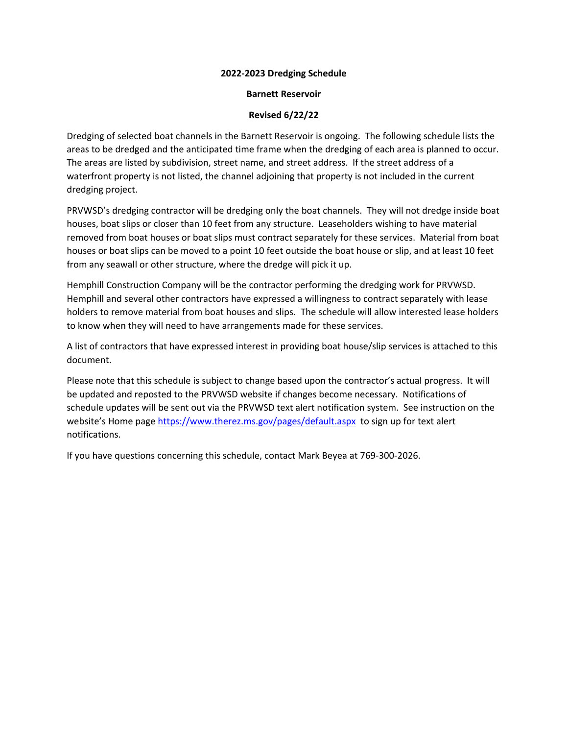## **2022‐2023 Dredging Schedule**

## **Barnett Reservoir**

## **Revised 6/22/22**

Dredging of selected boat channels in the Barnett Reservoir is ongoing. The following schedule lists the areas to be dredged and the anticipated time frame when the dredging of each area is planned to occur. The areas are listed by subdivision, street name, and street address. If the street address of a waterfront property is not listed, the channel adjoining that property is not included in the current dredging project.

PRVWSD's dredging contractor will be dredging only the boat channels. They will not dredge inside boat houses, boat slips or closer than 10 feet from any structure. Leaseholders wishing to have material removed from boat houses or boat slips must contract separately for these services. Material from boat houses or boat slips can be moved to a point 10 feet outside the boat house or slip, and at least 10 feet from any seawall or other structure, where the dredge will pick it up.

Hemphill Construction Company will be the contractor performing the dredging work for PRVWSD. Hemphill and several other contractors have expressed a willingness to contract separately with lease holders to remove material from boat houses and slips. The schedule will allow interested lease holders to know when they will need to have arrangements made for these services.

A list of contractors that have expressed interest in providing boat house/slip services is attached to this document.

Please note that this schedule is subject to change based upon the contractor's actual progress. It will be updated and reposted to the PRVWSD website if changes become necessary. Notifications of schedule updates will be sent out via the PRVWSD text alert notification system. See instruction on the website's Home page https://www.therez.ms.gov/pages/default.aspx to sign up for text alert notifications.

If you have questions concerning this schedule, contact Mark Beyea at 769‐300‐2026.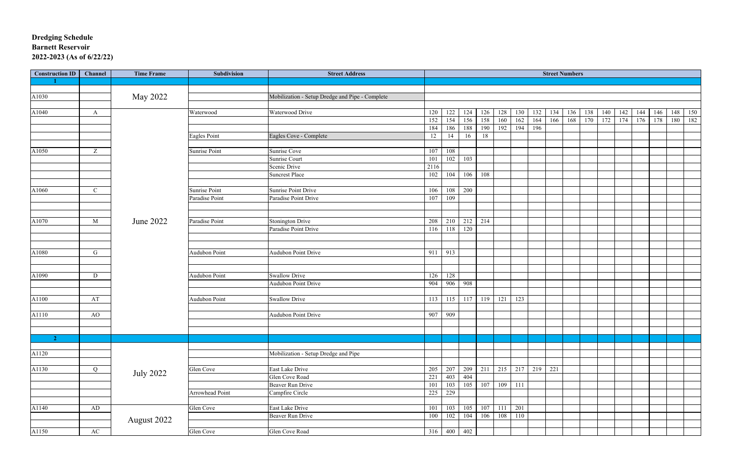# **Dredging Schedule Barnett Reservoir 2022-2023 (As of 6/22/22)**

| <b>Construction ID</b> | Channel      | <b>Time Frame</b> | Subdivision          | <b>Street Address</b>                           | <b>Street Numbers</b> |     |           |             |     |     |     |     |     |     |     |     |     |     |     |     |
|------------------------|--------------|-------------------|----------------------|-------------------------------------------------|-----------------------|-----|-----------|-------------|-----|-----|-----|-----|-----|-----|-----|-----|-----|-----|-----|-----|
|                        |              |                   |                      |                                                 |                       |     |           |             |     |     |     |     |     |     |     |     |     |     |     |     |
|                        |              |                   |                      |                                                 |                       |     |           |             |     |     |     |     |     |     |     |     |     |     |     |     |
| A1030                  |              | May 2022          |                      | Mobilization - Setup Dredge and Pipe - Complete |                       |     |           |             |     |     |     |     |     |     |     |     |     |     |     |     |
|                        |              |                   |                      |                                                 |                       |     |           |             |     |     |     |     |     |     |     |     |     |     |     |     |
| A1040                  | A            |                   | Waterwood            | Waterwood Drive                                 | 120                   | 122 | 124       | 126         | 128 | 130 | 132 | 134 | 136 | 138 | 140 | 142 | 144 | 146 | 148 | 150 |
|                        |              |                   |                      |                                                 | 152                   | 154 | 156       | 158         | 160 | 162 | 164 | 166 | 168 | 170 | 172 | 174 | 176 | 178 | 180 | 182 |
|                        |              |                   |                      |                                                 | 184                   | 186 | 188       | 190         | 192 | 194 | 196 |     |     |     |     |     |     |     |     |     |
|                        |              |                   | <b>Eagles Point</b>  | Eagles Cove - Complete                          | 12                    | 14  | 16        | 18          |     |     |     |     |     |     |     |     |     |     |     |     |
|                        |              |                   |                      |                                                 |                       |     |           |             |     |     |     |     |     |     |     |     |     |     |     |     |
| A1050                  | Z            |                   | <b>Sunrise Point</b> | Sunrise Cove                                    | 107                   | 108 |           |             |     |     |     |     |     |     |     |     |     |     |     |     |
|                        |              |                   |                      | <b>Sunrise Court</b>                            | 101                   | 102 | 103       |             |     |     |     |     |     |     |     |     |     |     |     |     |
|                        |              |                   |                      | Scenic Drive                                    | 2116                  |     |           |             |     |     |     |     |     |     |     |     |     |     |     |     |
|                        |              |                   |                      | <b>Suncrest Place</b>                           | 102                   | 104 | 106       | 108         |     |     |     |     |     |     |     |     |     |     |     |     |
|                        |              |                   |                      |                                                 |                       |     |           |             |     |     |     |     |     |     |     |     |     |     |     |     |
| A1060                  | $\mathbf C$  |                   | Sunrise Point        | <b>Sunrise Point Drive</b>                      | 106                   |     | 108 200   |             |     |     |     |     |     |     |     |     |     |     |     |     |
|                        |              |                   | Paradise Point       | Paradise Point Drive                            | 107                   | 109 |           |             |     |     |     |     |     |     |     |     |     |     |     |     |
|                        |              |                   |                      |                                                 |                       |     |           |             |     |     |     |     |     |     |     |     |     |     |     |     |
|                        |              |                   |                      |                                                 |                       |     |           |             |     |     |     |     |     |     |     |     |     |     |     |     |
| A1070                  | M            | June 2022         | Paradise Point       | <b>Stonington Drive</b>                         | 208                   | 210 |           | $212$ 214   |     |     |     |     |     |     |     |     |     |     |     |     |
|                        |              |                   |                      | Paradise Point Drive                            | 116                   |     | 118 120   |             |     |     |     |     |     |     |     |     |     |     |     |     |
|                        |              |                   |                      |                                                 |                       |     |           |             |     |     |     |     |     |     |     |     |     |     |     |     |
|                        |              |                   |                      |                                                 |                       |     |           |             |     |     |     |     |     |     |     |     |     |     |     |     |
| A1080                  | $\mathbf{G}$ |                   | <b>Audubon Point</b> | <b>Audubon Point Drive</b>                      | 911                   | 913 |           |             |     |     |     |     |     |     |     |     |     |     |     |     |
|                        |              |                   |                      |                                                 |                       |     |           |             |     |     |     |     |     |     |     |     |     |     |     |     |
|                        |              |                   |                      |                                                 |                       |     |           |             |     |     |     |     |     |     |     |     |     |     |     |     |
| A1090                  | D            |                   | Audubon Point        | <b>Swallow Drive</b>                            | 126                   | 128 |           |             |     |     |     |     |     |     |     |     |     |     |     |     |
|                        |              |                   |                      | <b>Audubon Point Drive</b>                      | 904                   |     | 906 908   |             |     |     |     |     |     |     |     |     |     |     |     |     |
|                        |              |                   |                      |                                                 |                       |     |           |             |     |     |     |     |     |     |     |     |     |     |     |     |
| A1100                  | AT           |                   | Audubon Point        | <b>Swallow Drive</b>                            | 113                   |     | $115$ 117 | 119         | 121 | 123 |     |     |     |     |     |     |     |     |     |     |
|                        |              |                   |                      |                                                 |                       |     |           |             |     |     |     |     |     |     |     |     |     |     |     |     |
| A1110                  | AO           |                   |                      | <b>Audubon Point Drive</b>                      | 907                   | 909 |           |             |     |     |     |     |     |     |     |     |     |     |     |     |
|                        |              |                   |                      |                                                 |                       |     |           |             |     |     |     |     |     |     |     |     |     |     |     |     |
|                        |              |                   |                      |                                                 |                       |     |           |             |     |     |     |     |     |     |     |     |     |     |     |     |
| $\sim$ 2               |              |                   |                      |                                                 |                       |     |           |             |     |     |     |     |     |     |     |     |     |     |     |     |
|                        |              |                   |                      |                                                 |                       |     |           |             |     |     |     |     |     |     |     |     |     |     |     |     |
| A1120                  |              |                   |                      | Mobilization - Setup Dredge and Pipe            |                       |     |           |             |     |     |     |     |     |     |     |     |     |     |     |     |
|                        |              |                   |                      |                                                 |                       |     |           |             |     |     |     |     |     |     |     |     |     |     |     |     |
| A1130                  | Q            | <b>July 2022</b>  | Glen Cove            | East Lake Drive                                 | 205                   | 207 | 209 211   |             | 215 | 217 | 219 | 221 |     |     |     |     |     |     |     |     |
|                        |              |                   |                      | Glen Cove Road                                  | 221                   | 403 | 404       |             |     |     |     |     |     |     |     |     |     |     |     |     |
|                        |              |                   |                      | Beaver Run Drive                                | 101                   | 103 |           | 105 107 109 |     | 111 |     |     |     |     |     |     |     |     |     |     |
|                        |              |                   | Arrowhead Point      | Campfire Circle                                 | 225                   | 229 |           |             |     |     |     |     |     |     |     |     |     |     |     |     |
|                        |              |                   |                      |                                                 |                       |     |           |             |     |     |     |     |     |     |     |     |     |     |     |     |
| A1140                  | AD           |                   | Glen Cove            | East Lake Drive                                 | 101                   | 103 | 105       | 107 111     |     | 201 |     |     |     |     |     |     |     |     |     |     |
|                        |              | August 2022       |                      | Beaver Run Drive                                | 100                   | 102 | 104       | 106         | 108 | 110 |     |     |     |     |     |     |     |     |     |     |
|                        |              |                   |                      |                                                 |                       |     |           |             |     |     |     |     |     |     |     |     |     |     |     |     |
| A1150                  | AC           |                   | Glen Cove            | Glen Cove Road                                  | 316                   |     | 400 402   |             |     |     |     |     |     |     |     |     |     |     |     |     |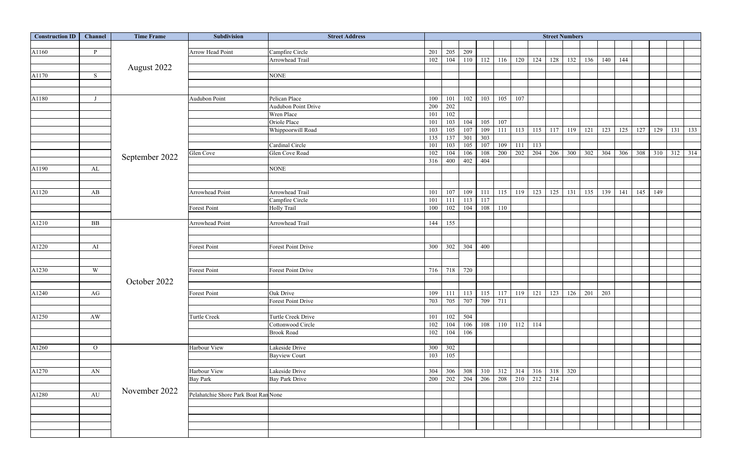| <b>Construction ID</b> | Channel        | <b>Time Frame</b> | <b>Subdivision</b>                   | <b>Street Address</b>      | <b>Street Numbers</b> |         |                                            |         |     |                           |             |           |     |     |     |     |     |         |             |
|------------------------|----------------|-------------------|--------------------------------------|----------------------------|-----------------------|---------|--------------------------------------------|---------|-----|---------------------------|-------------|-----------|-----|-----|-----|-----|-----|---------|-------------|
|                        |                |                   |                                      |                            |                       |         |                                            |         |     |                           |             |           |     |     |     |     |     |         |             |
| A1160                  | P.             |                   | <b>Arrow Head Point</b>              | Campfire Circle            | 201                   | 205     | 209                                        |         |     |                           |             |           |     |     |     |     |     |         |             |
|                        |                |                   |                                      | Arrowhead Trail            | 102                   | 104     | 110 112                                    |         | 116 | 120                       | 124         | 128       | 132 | 136 | 140 | 144 |     |         |             |
|                        |                | August 2022       |                                      |                            |                       |         |                                            |         |     |                           |             |           |     |     |     |     |     |         |             |
| A1170                  | S              |                   |                                      | <b>NONE</b>                |                       |         |                                            |         |     |                           |             |           |     |     |     |     |     |         |             |
|                        |                |                   |                                      |                            |                       |         |                                            |         |     |                           |             |           |     |     |     |     |     |         |             |
|                        |                |                   |                                      |                            |                       |         |                                            |         |     |                           |             |           |     |     |     |     |     |         |             |
| A1180                  |                |                   | <b>Audubon Point</b>                 | Pelican Place              | 100                   | 101     | 102                                        | 103     | 105 | 107                       |             |           |     |     |     |     |     |         |             |
|                        |                |                   |                                      | <b>Audubon Point Drive</b> | 200                   | 202     |                                            |         |     |                           |             |           |     |     |     |     |     |         |             |
|                        |                |                   |                                      | Wren Place                 | 101                   | 102     |                                            |         |     |                           |             |           |     |     |     |     |     |         |             |
|                        |                |                   |                                      | Oriole Place               | 101                   | 103     | 104                                        | 105     | 107 |                           |             |           |     |     |     |     |     |         |             |
|                        |                |                   |                                      | Whippoorwill Road          | 103                   | 105     | 107                                        | 109     | 111 | 113                       | 115         | 117       | 119 | 121 | 123 | 125 | 127 | 129     | 131 133     |
|                        |                |                   |                                      |                            | 135                   | 137     | 301                                        | 303     |     |                           |             |           |     |     |     |     |     |         |             |
|                        |                |                   |                                      | Cardinal Circle            | 101                   | 103     | 105                                        | 107     | 109 | 111                       | 113         |           |     |     |     |     |     |         |             |
|                        |                |                   | Glen Cove                            | Glen Cove Road             | 102                   | 104     | 106                                        | 108     | 200 | 202                       | 204         | 206       | 300 | 302 | 304 | 306 | 308 |         | 310 312 314 |
|                        |                | September 2022    |                                      |                            | 316                   | 400     | 402                                        | 404     |     |                           |             |           |     |     |     |     |     |         |             |
| A1190                  | AL             |                   |                                      | <b>NONE</b>                |                       |         |                                            |         |     |                           |             |           |     |     |     |     |     |         |             |
|                        |                |                   |                                      |                            |                       |         |                                            |         |     |                           |             |           |     |     |     |     |     |         |             |
|                        |                |                   |                                      |                            |                       |         |                                            |         |     |                           |             |           |     |     |     |     |     |         |             |
| A1120                  | AB             |                   | <b>Arrowhead Point</b>               | Arrowhead Trail            | 101                   | 107     | 109                                        | -111    | 115 | 119                       |             | $123$ 125 | 131 | 135 | 139 | 141 |     | 145 149 |             |
|                        |                |                   |                                      | Campfire Circle            | 101                   |         | $111$ 113                                  | 117     |     |                           |             |           |     |     |     |     |     |         |             |
|                        |                |                   | <b>Forest Point</b>                  | Holly Trail                | 100                   | 102     | 104                                        | 108     | 110 |                           |             |           |     |     |     |     |     |         |             |
|                        |                |                   |                                      |                            |                       |         |                                            |         |     |                           |             |           |     |     |     |     |     |         |             |
| A1210                  | BB             |                   | Arrowhead Point                      | Arrowhead Trail            | 144                   | 155     |                                            |         |     |                           |             |           |     |     |     |     |     |         |             |
|                        |                |                   |                                      |                            |                       |         |                                            |         |     |                           |             |           |     |     |     |     |     |         |             |
|                        |                |                   |                                      |                            |                       |         |                                            |         |     |                           |             |           |     |     |     |     |     |         |             |
| A1220                  | AI             |                   | Forest Point                         | <b>Forest Point Drive</b>  | 300                   | 302     | 304                                        | 400     |     |                           |             |           |     |     |     |     |     |         |             |
|                        |                |                   |                                      |                            |                       |         |                                            |         |     |                           |             |           |     |     |     |     |     |         |             |
|                        |                |                   |                                      |                            |                       |         |                                            |         |     |                           |             |           |     |     |     |     |     |         |             |
| A1230                  | W              |                   | Forest Point                         | Forest Point Drive         | 716                   |         | 718 720                                    |         |     |                           |             |           |     |     |     |     |     |         |             |
|                        |                |                   |                                      |                            |                       |         |                                            |         |     |                           |             |           |     |     |     |     |     |         |             |
|                        |                | October 2022      |                                      |                            |                       |         |                                            |         |     |                           |             |           |     |     |     |     |     |         |             |
|                        |                |                   | <b>Forest Point</b>                  |                            |                       |         |                                            |         |     |                           |             |           |     |     |     |     |     |         |             |
| A1240                  | AG             |                   |                                      | Oak Drive                  |                       |         | 109 111 113 115 117<br>703 705 707 709 711 |         |     | 119                       | 121         | 123       | 126 | 201 | 203 |     |     |         |             |
|                        |                |                   |                                      | Forest Point Drive         |                       |         |                                            |         |     |                           |             |           |     |     |     |     |     |         |             |
|                        |                |                   |                                      |                            |                       |         |                                            |         |     |                           |             |           |     |     |     |     |     |         |             |
| A1250                  | AW             |                   | Turtle Creek                         | Turtle Creek Drive         | 101                   |         | 102 504                                    |         |     |                           |             |           |     |     |     |     |     |         |             |
|                        |                |                   |                                      | Cottonwood Circle          | 102                   | 104     |                                            | 106 108 | 110 | $112$ 114                 |             |           |     |     |     |     |     |         |             |
|                        |                |                   |                                      | <b>Brook Road</b>          | 102                   |         | 104 106                                    |         |     |                           |             |           |     |     |     |     |     |         |             |
|                        |                |                   |                                      |                            |                       |         |                                            |         |     |                           |             |           |     |     |     |     |     |         |             |
| A1260                  | $\overline{O}$ |                   | Harbour View                         | Lakeside Drive             |                       | 300 302 |                                            |         |     |                           |             |           |     |     |     |     |     |         |             |
|                        |                |                   |                                      | <b>Bayview Court</b>       | 103                   | 105     |                                            |         |     |                           |             |           |     |     |     |     |     |         |             |
|                        |                |                   |                                      |                            |                       |         |                                            |         |     |                           |             |           |     |     |     |     |     |         |             |
| A1270                  | AN             |                   | Harbour View                         | Lakeside Drive             | 304                   |         | 306 308                                    |         |     | $310$ 312 314 316 318 320 |             |           |     |     |     |     |     |         |             |
|                        |                |                   | <b>Bay Park</b>                      | <b>Bay Park Drive</b>      | 200                   |         | 202 204                                    | 206     | 208 |                           | 210 212 214 |           |     |     |     |     |     |         |             |
|                        |                | November 2022     |                                      |                            |                       |         |                                            |         |     |                           |             |           |     |     |     |     |     |         |             |
| A1280                  | AU             |                   | Pelahatchie Shore Park Boat Ran None |                            |                       |         |                                            |         |     |                           |             |           |     |     |     |     |     |         |             |
|                        |                |                   |                                      |                            |                       |         |                                            |         |     |                           |             |           |     |     |     |     |     |         |             |
|                        |                |                   |                                      |                            |                       |         |                                            |         |     |                           |             |           |     |     |     |     |     |         |             |
|                        |                |                   |                                      |                            |                       |         |                                            |         |     |                           |             |           |     |     |     |     |     |         |             |
|                        |                |                   |                                      |                            |                       |         |                                            |         |     |                           |             |           |     |     |     |     |     |         |             |
|                        |                |                   |                                      |                            |                       |         |                                            |         |     |                           |             |           |     |     |     |     |     |         |             |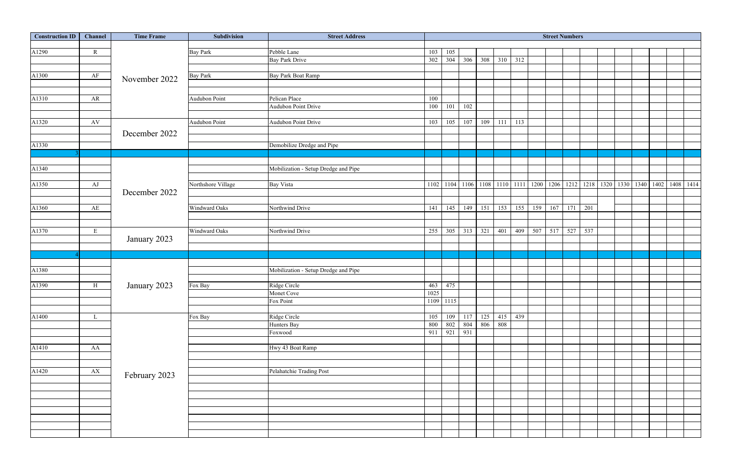| <b>Construction ID</b> | Channel                | <b>Time Frame</b> | Subdivision          | <b>Street Address</b>                | <b>Street Numbers</b> |             |         |     |     |     |     |     |     |     |  |  |                                                                                                               |  |
|------------------------|------------------------|-------------------|----------------------|--------------------------------------|-----------------------|-------------|---------|-----|-----|-----|-----|-----|-----|-----|--|--|---------------------------------------------------------------------------------------------------------------|--|
|                        |                        |                   |                      |                                      |                       |             |         |     |     |     |     |     |     |     |  |  |                                                                                                               |  |
| A1290                  | $\mathbf R$            |                   | <b>Bay Park</b>      | Pebble Lane                          | 103                   | 105         |         |     |     |     |     |     |     |     |  |  |                                                                                                               |  |
|                        |                        |                   |                      | <b>Bay Park Drive</b>                | 302                   | 304         | 306     | 308 | 310 | 312 |     |     |     |     |  |  |                                                                                                               |  |
|                        |                        |                   |                      |                                      |                       |             |         |     |     |     |     |     |     |     |  |  |                                                                                                               |  |
| A1300                  | AF                     | November 2022     | <b>Bay Park</b>      | <b>Bay Park Boat Ramp</b>            |                       |             |         |     |     |     |     |     |     |     |  |  |                                                                                                               |  |
|                        |                        |                   |                      |                                      |                       |             |         |     |     |     |     |     |     |     |  |  |                                                                                                               |  |
|                        |                        |                   | Audubon Point        | Pelican Place                        |                       |             |         |     |     |     |     |     |     |     |  |  |                                                                                                               |  |
| A1310                  | AR                     |                   |                      | <b>Audubon Point Drive</b>           | 100<br>100            | 101         | 102     |     |     |     |     |     |     |     |  |  |                                                                                                               |  |
|                        |                        |                   |                      |                                      |                       |             |         |     |     |     |     |     |     |     |  |  |                                                                                                               |  |
| A1320                  | $\mathbf{A}\mathbf{V}$ |                   | <b>Audubon Point</b> | <b>Audubon Point Drive</b>           | 103                   | 105         | 107     | 109 | 111 | 113 |     |     |     |     |  |  |                                                                                                               |  |
|                        |                        |                   |                      |                                      |                       |             |         |     |     |     |     |     |     |     |  |  |                                                                                                               |  |
|                        |                        | December 2022     |                      |                                      |                       |             |         |     |     |     |     |     |     |     |  |  |                                                                                                               |  |
| A1330                  |                        |                   |                      | Demobilize Dredge and Pipe           |                       |             |         |     |     |     |     |     |     |     |  |  |                                                                                                               |  |
|                        |                        |                   |                      |                                      |                       |             |         |     |     |     |     |     |     |     |  |  |                                                                                                               |  |
|                        |                        |                   |                      |                                      |                       |             |         |     |     |     |     |     |     |     |  |  |                                                                                                               |  |
| A1340                  |                        |                   |                      | Mobilization - Setup Dredge and Pipe |                       |             |         |     |     |     |     |     |     |     |  |  |                                                                                                               |  |
|                        |                        |                   |                      |                                      |                       |             |         |     |     |     |     |     |     |     |  |  |                                                                                                               |  |
| A1350                  | AJ                     |                   | Northshore Village   | <b>Bay Vista</b>                     |                       |             |         |     |     |     |     |     |     |     |  |  | 1102   1104   1106   1108   1110   1111   1200   1206   1212   1218   1320   1330   1340   1402   1408   1414 |  |
|                        |                        | December 2022     |                      |                                      |                       |             |         |     |     |     |     |     |     |     |  |  |                                                                                                               |  |
|                        |                        |                   |                      |                                      |                       |             |         |     |     |     |     |     |     |     |  |  |                                                                                                               |  |
| A1360                  | AE                     |                   | Windward Oaks        | Northwind Drive                      | 141                   | 145         | 149     | 151 | 153 | 155 | 159 | 167 | 171 | 201 |  |  |                                                                                                               |  |
|                        |                        |                   |                      |                                      |                       |             |         |     |     |     |     |     |     |     |  |  |                                                                                                               |  |
|                        |                        |                   |                      |                                      |                       |             |         |     |     |     |     |     |     |     |  |  |                                                                                                               |  |
| A1370                  | E                      |                   | Windward Oaks        | Northwind Drive                      | 255                   | 305         | 313     | 321 | 401 | 409 | 507 | 517 | 527 | 537 |  |  |                                                                                                               |  |
|                        |                        | January 2023      |                      |                                      |                       |             |         |     |     |     |     |     |     |     |  |  |                                                                                                               |  |
|                        |                        |                   |                      |                                      |                       |             |         |     |     |     |     |     |     |     |  |  |                                                                                                               |  |
|                        |                        |                   |                      |                                      |                       |             |         |     |     |     |     |     |     |     |  |  |                                                                                                               |  |
| A1380                  |                        |                   |                      | Mobilization - Setup Dredge and Pipe |                       |             |         |     |     |     |     |     |     |     |  |  |                                                                                                               |  |
|                        |                        |                   |                      |                                      |                       |             |         |     |     |     |     |     |     |     |  |  |                                                                                                               |  |
| A1390                  | H                      | January 2023      | Fox Bay              | Ridge Circle                         |                       | 463 475     |         |     |     |     |     |     |     |     |  |  |                                                                                                               |  |
|                        |                        |                   |                      | Monet Cove                           | 1025                  |             |         |     |     |     |     |     |     |     |  |  |                                                                                                               |  |
|                        |                        |                   |                      | Fox Point                            |                       | 1109 1115   |         |     |     |     |     |     |     |     |  |  |                                                                                                               |  |
|                        |                        |                   |                      |                                      |                       |             |         |     |     |     |     |     |     |     |  |  |                                                                                                               |  |
| A1400                  |                        |                   | Fox Bay              | Ridge Circle                         | 105                   | 109         | 117     | 125 | 415 | 439 |     |     |     |     |  |  |                                                                                                               |  |
|                        |                        |                   |                      | Hunters Bay                          | 800                   |             | 802 804 | 806 | 808 |     |     |     |     |     |  |  |                                                                                                               |  |
|                        |                        |                   |                      | Foxwood                              |                       | 911 921 931 |         |     |     |     |     |     |     |     |  |  |                                                                                                               |  |
|                        |                        |                   |                      |                                      |                       |             |         |     |     |     |     |     |     |     |  |  |                                                                                                               |  |
| A1410                  | AA                     |                   |                      | Hwy 43 Boat Ramp                     |                       |             |         |     |     |     |     |     |     |     |  |  |                                                                                                               |  |
|                        |                        |                   |                      |                                      |                       |             |         |     |     |     |     |     |     |     |  |  |                                                                                                               |  |
|                        |                        |                   |                      |                                      |                       |             |         |     |     |     |     |     |     |     |  |  |                                                                                                               |  |
| A1420                  | AX                     | February 2023     |                      | Pelahatchie Trading Post             |                       |             |         |     |     |     |     |     |     |     |  |  |                                                                                                               |  |
|                        |                        |                   |                      |                                      |                       |             |         |     |     |     |     |     |     |     |  |  |                                                                                                               |  |
|                        |                        |                   |                      |                                      |                       |             |         |     |     |     |     |     |     |     |  |  |                                                                                                               |  |
|                        |                        |                   |                      |                                      |                       |             |         |     |     |     |     |     |     |     |  |  |                                                                                                               |  |
|                        |                        |                   |                      |                                      |                       |             |         |     |     |     |     |     |     |     |  |  |                                                                                                               |  |
|                        |                        |                   |                      |                                      |                       |             |         |     |     |     |     |     |     |     |  |  |                                                                                                               |  |
|                        |                        |                   |                      |                                      |                       |             |         |     |     |     |     |     |     |     |  |  |                                                                                                               |  |
|                        |                        |                   |                      |                                      |                       |             |         |     |     |     |     |     |     |     |  |  |                                                                                                               |  |
|                        |                        |                   |                      |                                      |                       |             |         |     |     |     |     |     |     |     |  |  |                                                                                                               |  |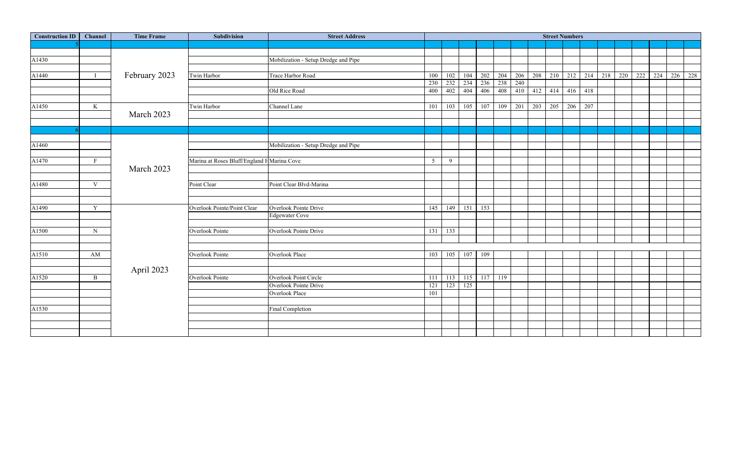| <b>Construction ID</b> | <b>Channel</b> | <b>Time Frame</b> | Subdivision                                | <b>Street Address</b>                | <b>Street Numbers</b> |           |           |     |     |     |         |     |     |     |     |     |                 |  |  |
|------------------------|----------------|-------------------|--------------------------------------------|--------------------------------------|-----------------------|-----------|-----------|-----|-----|-----|---------|-----|-----|-----|-----|-----|-----------------|--|--|
|                        |                |                   |                                            |                                      |                       |           |           |     |     |     |         |     |     |     |     |     |                 |  |  |
|                        |                |                   |                                            |                                      |                       |           |           |     |     |     |         |     |     |     |     |     |                 |  |  |
| A1430                  |                |                   |                                            | Mobilization - Setup Dredge and Pipe |                       |           |           |     |     |     |         |     |     |     |     |     |                 |  |  |
|                        |                |                   |                                            |                                      |                       |           |           |     |     |     |         |     |     |     |     |     |                 |  |  |
| A1440                  |                | February 2023     | Twin Harbor                                | Trace Harbor Road                    | 100                   | 102       | 104       | 202 | 204 | 206 | 208     | 210 | 212 | 214 | 218 | 220 | 222 224 226 228 |  |  |
|                        |                |                   |                                            |                                      | 230                   | 232       | 234       | 236 | 238 | 240 |         |     |     |     |     |     |                 |  |  |
|                        |                |                   |                                            | Old Rice Road                        |                       | 400 402   | 404       | 406 | 408 |     | 410 412 | 414 | 416 | 418 |     |     |                 |  |  |
|                        |                |                   |                                            |                                      |                       |           |           |     |     |     |         |     |     |     |     |     |                 |  |  |
| A1450                  | $\bf K$        |                   | Twin Harbor                                | Channel Lane                         | 101                   | 103       | 105       | 107 | 109 | 201 | 203     | 205 | 206 | 207 |     |     |                 |  |  |
|                        |                | March 2023        |                                            |                                      |                       |           |           |     |     |     |         |     |     |     |     |     |                 |  |  |
|                        |                |                   |                                            |                                      |                       |           |           |     |     |     |         |     |     |     |     |     |                 |  |  |
|                        |                |                   |                                            |                                      |                       |           |           |     |     |     |         |     |     |     |     |     |                 |  |  |
|                        |                |                   |                                            |                                      |                       |           |           |     |     |     |         |     |     |     |     |     |                 |  |  |
| A1460                  |                |                   |                                            | Mobilization - Setup Dredge and Pipe |                       |           |           |     |     |     |         |     |     |     |     |     |                 |  |  |
|                        |                |                   |                                            |                                      |                       |           |           |     |     |     |         |     |     |     |     |     |                 |  |  |
| A1470                  | $\mathbf{F}$   |                   | Marina at Roses Bluff/England HMarina Cove |                                      | 5 <sup>5</sup>        | 9         |           |     |     |     |         |     |     |     |     |     |                 |  |  |
|                        |                | March 2023        |                                            |                                      |                       |           |           |     |     |     |         |     |     |     |     |     |                 |  |  |
|                        |                |                   |                                            |                                      |                       |           |           |     |     |     |         |     |     |     |     |     |                 |  |  |
| A1480                  | $\mathbf V$    |                   | Point Clear                                | Point Clear Blvd-Marina              |                       |           |           |     |     |     |         |     |     |     |     |     |                 |  |  |
|                        |                |                   |                                            |                                      |                       |           |           |     |     |     |         |     |     |     |     |     |                 |  |  |
|                        |                |                   |                                            |                                      |                       |           |           |     |     |     |         |     |     |     |     |     |                 |  |  |
| A1490                  | Y              |                   | <b>Overlook Pointe/Point Clear</b>         | Overlook Pointe Drive                | 145                   | 149       | 151       | 153 |     |     |         |     |     |     |     |     |                 |  |  |
|                        |                |                   |                                            | <b>Edgewater Cove</b>                |                       |           |           |     |     |     |         |     |     |     |     |     |                 |  |  |
|                        |                |                   |                                            |                                      |                       |           |           |     |     |     |         |     |     |     |     |     |                 |  |  |
| A1500                  | N              |                   | Overlook Pointe                            | Overlook Pointe Drive                | 131                   | 133       |           |     |     |     |         |     |     |     |     |     |                 |  |  |
|                        |                |                   |                                            |                                      |                       |           |           |     |     |     |         |     |     |     |     |     |                 |  |  |
|                        |                |                   |                                            |                                      |                       |           |           |     |     |     |         |     |     |     |     |     |                 |  |  |
| A1510                  | AM             |                   | <b>Overlook Pointe</b>                     | <b>Overlook Place</b>                | 103                   | 105       | 107       | 109 |     |     |         |     |     |     |     |     |                 |  |  |
|                        |                |                   |                                            |                                      |                       |           |           |     |     |     |         |     |     |     |     |     |                 |  |  |
|                        |                | April 2023        |                                            |                                      |                       |           |           |     |     |     |         |     |     |     |     |     |                 |  |  |
| A1520                  | $\, {\bf B}$   |                   | Overlook Pointe                            | Overlook Point Circle                | 111                   | 113       | $115$ 117 |     | 119 |     |         |     |     |     |     |     |                 |  |  |
|                        |                |                   |                                            | Overlook Pointe Drive                | 121                   | $123$ 125 |           |     |     |     |         |     |     |     |     |     |                 |  |  |
|                        |                |                   |                                            | Overlook Place                       | 101                   |           |           |     |     |     |         |     |     |     |     |     |                 |  |  |
|                        |                |                   |                                            |                                      |                       |           |           |     |     |     |         |     |     |     |     |     |                 |  |  |
| A1530                  |                |                   |                                            | Final Completion                     |                       |           |           |     |     |     |         |     |     |     |     |     |                 |  |  |
|                        |                |                   |                                            |                                      |                       |           |           |     |     |     |         |     |     |     |     |     |                 |  |  |
|                        |                |                   |                                            |                                      |                       |           |           |     |     |     |         |     |     |     |     |     |                 |  |  |
|                        |                |                   |                                            |                                      |                       |           |           |     |     |     |         |     |     |     |     |     |                 |  |  |